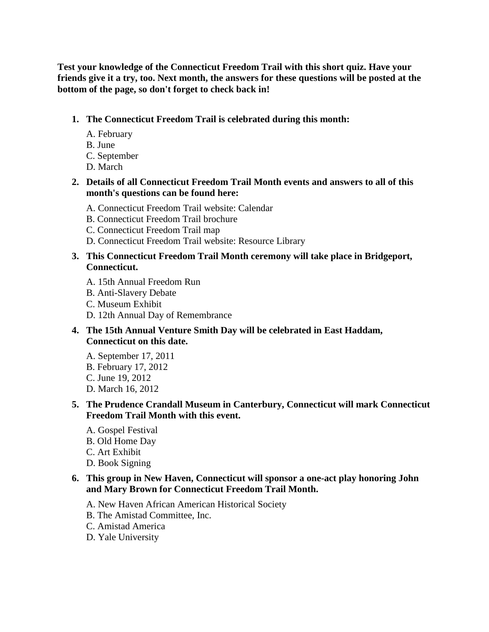**Test your knowledge of the Connecticut Freedom Trail with this short quiz. Have your friends give it a try, too. Next month, the answers for these questions will be posted at the bottom of the page, so don't forget to check back in!** 

#### **1. The Connecticut Freedom Trail is celebrated during this month:**

- A. February
- B. June
- C. September
- D. March
- **2. Details of all Connecticut Freedom Trail Month events and answers to all of this month's questions can be found here:** 
	- A. Connecticut Freedom Trail website: Calendar
	- B. Connecticut Freedom Trail brochure
	- C. Connecticut Freedom Trail map
	- D. Connecticut Freedom Trail website: Resource Library

## **3. This Connecticut Freedom Trail Month ceremony will take place in Bridgeport, Connecticut.**

- A. 15th Annual Freedom Run
- B. Anti-Slavery Debate
- C. Museum Exhibit
- D. 12th Annual Day of Remembrance
- **4. The 15th Annual Venture Smith Day will be celebrated in East Haddam, Connecticut on this date.** 
	- A. September 17, 2011 B. February 17, 2012 C. June 19, 2012 D. March 16, 2012

## **5. The Prudence Crandall Museum in Canterbury, Connecticut will mark Connecticut Freedom Trail Month with this event.**

- A. Gospel Festival
- B. Old Home Day
- C. Art Exhibit
- D. Book Signing

## **6. This group in New Haven, Connecticut will sponsor a one-act play honoring John and Mary Brown for Connecticut Freedom Trail Month.**

- A. New Haven African American Historical Society
- B. The Amistad Committee, Inc.
- C. Amistad America
- D. Yale University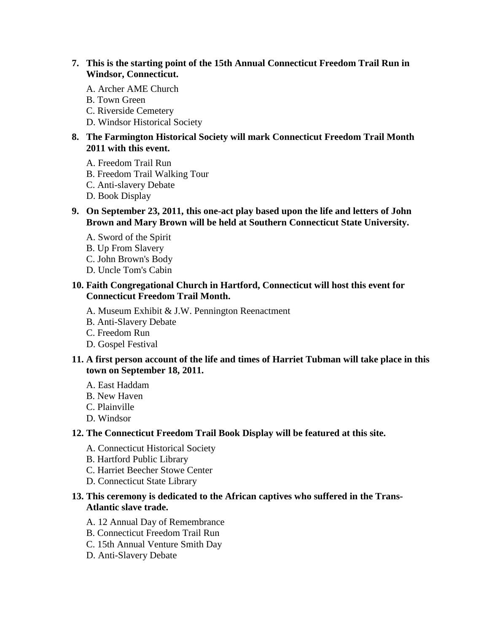- **7. This is the starting point of the 15th Annual Connecticut Freedom Trail Run in Windsor, Connecticut.** 
	- A. Archer AME Church
	- B. Town Green
	- C. Riverside Cemetery
	- D. Windsor Historical Society

## **8. The Farmington Historical Society will mark Connecticut Freedom Trail Month 2011 with this event.**

- A. Freedom Trail Run
- B. Freedom Trail Walking Tour
- C. Anti-slavery Debate
- D. Book Display
- **9. On September 23, 2011, this one-act play based upon the life and letters of John Brown and Mary Brown will be held at Southern Connecticut State University.** 
	- A. Sword of the Spirit
	- B. Up From Slavery
	- C. John Brown's Body
	- D. Uncle Tom's Cabin

### **10. Faith Congregational Church in Hartford, Connecticut will host this event for Connecticut Freedom Trail Month.**

- A. Museum Exhibit & J.W. Pennington Reenactment
- B. Anti-Slavery Debate
- C. Freedom Run
- D. Gospel Festival

#### **11. A first person account of the life and times of Harriet Tubman will take place in this town on September 18, 2011.**

- A. East Haddam
- B. New Haven
- C. Plainville
- D. Windsor

#### **12. The Connecticut Freedom Trail Book Display will be featured at this site.**

- A. Connecticut Historical Society
- B. Hartford Public Library
- C. Harriet Beecher Stowe Center
- D. Connecticut State Library

#### **13. This ceremony is dedicated to the African captives who suffered in the Trans-Atlantic slave trade.**

- A. 12 Annual Day of Remembrance
- B. Connecticut Freedom Trail Run
- C. 15th Annual Venture Smith Day
- D. Anti-Slavery Debate